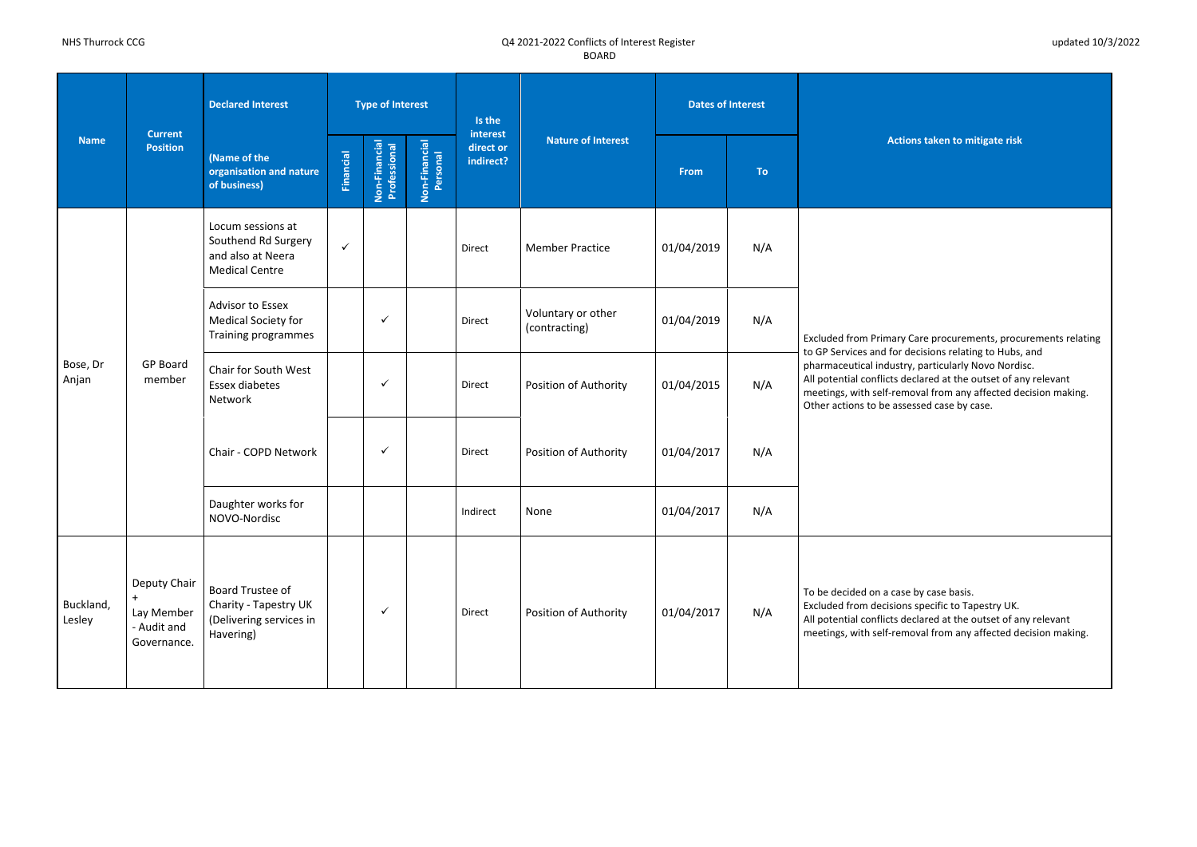**Actions taken to mitigate risk** 

ry Care procurements, procurements relating r decisions relating to Hubs, and try, particularly Novo Nordisc.

- declared at the outset of any relevant
- emoval from any affected decision making. ssessed case by case.

ase by case basis.

- Ins specific to Tapestry UK.
- declared at the outset of any relevant
- moval from any affected decision making.

| <b>Name</b>         |                                                                       | <b>Declared Interest</b>                                                               |                  | <b>Type of Interest</b>       |                           | Is the                             |                                     | <b>Dates of Interest</b> |           |                                                                                                                                |
|---------------------|-----------------------------------------------------------------------|----------------------------------------------------------------------------------------|------------------|-------------------------------|---------------------------|------------------------------------|-------------------------------------|--------------------------|-----------|--------------------------------------------------------------------------------------------------------------------------------|
|                     | <b>Current</b><br><b>Position</b>                                     | (Name of the<br>organisation and nature<br>of business)                                | <b>Financial</b> | Non-Financial<br>Professional | Non-Financial<br>Personal | interest<br>direct or<br>indirect? | <b>Nature of Interest</b>           | From                     | <b>To</b> | <b>Act</b>                                                                                                                     |
|                     |                                                                       | Locum sessions at<br>Southend Rd Surgery<br>and also at Neera<br><b>Medical Centre</b> | $\checkmark$     |                               |                           | Direct                             | <b>Member Practice</b>              | 01/04/2019               | N/A       |                                                                                                                                |
|                     |                                                                       | <b>Advisor to Essex</b><br><b>Medical Society for</b><br>Training programmes           |                  | $\checkmark$                  |                           | Direct                             | Voluntary or other<br>(contracting) | 01/04/2019               | N/A       | <b>Excluded from Primar</b>                                                                                                    |
| Bose, Dr<br>Anjan   | <b>GP Board</b><br>member                                             | Chair for South West<br>Essex diabetes<br>Network                                      |                  | ✓                             |                           | Direct                             | Position of Authority               | 01/04/2015               | N/A       | to GP Services and for<br>pharmaceutical indust<br>All potential conflicts<br>meetings, with self-re<br>Other actions to be as |
|                     |                                                                       | Chair - COPD Network                                                                   |                  | $\checkmark$                  |                           | Direct                             | Position of Authority               | 01/04/2017               | N/A       |                                                                                                                                |
|                     |                                                                       | Daughter works for<br>NOVO-Nordisc                                                     |                  |                               |                           | Indirect                           | None                                | 01/04/2017               | N/A       |                                                                                                                                |
| Buckland,<br>Lesley | Deputy Chair<br>$\ddot{}$<br>Lay Member<br>- Audit and<br>Governance. | Board Trustee of<br>Charity - Tapestry UK<br>(Delivering services in<br>Havering)      |                  | $\checkmark$                  |                           | Direct                             | Position of Authority               | 01/04/2017               | N/A       | To be decided on a cas<br><b>Excluded from decisio</b><br>All potential conflicts<br>meetings, with self-re                    |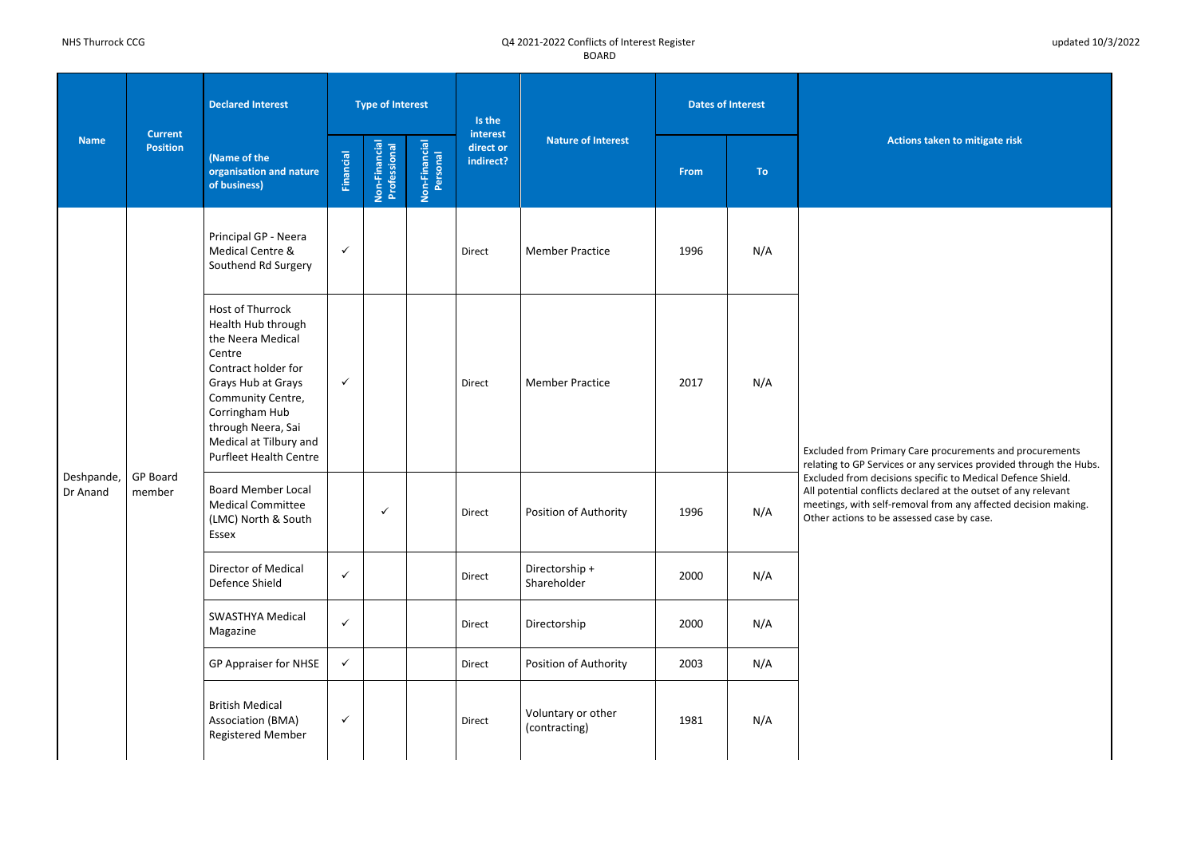**Actions taken to mitigate risk** 

Iry Care procurements and procurements  $\frac{1}{2}$  or any services provided through the Hubs. ons specific to Medical Defence Shield. s declared at the outset of any relevant emoval from any affected decision making. ssessed case by case.

| <b>Name</b>            | <b>Current</b><br><b>Position</b> | <b>Declared Interest</b>                                                                                                                                                                                                                   |                  | <b>Type of Interest</b>       |                           | Is the                             |                                     | <b>Dates of Interest</b> |           |                                                                                                             |
|------------------------|-----------------------------------|--------------------------------------------------------------------------------------------------------------------------------------------------------------------------------------------------------------------------------------------|------------------|-------------------------------|---------------------------|------------------------------------|-------------------------------------|--------------------------|-----------|-------------------------------------------------------------------------------------------------------------|
|                        |                                   | (Name of the<br>organisation and nature<br>of business)                                                                                                                                                                                    | <b>Financial</b> | Non-Financial<br>Professional | Non-Financial<br>Personal | interest<br>direct or<br>indirect? | <b>Nature of Interest</b>           | <b>From</b>              | <b>To</b> | <b>Act</b>                                                                                                  |
|                        |                                   | Principal GP - Neera<br>Medical Centre &<br>Southend Rd Surgery                                                                                                                                                                            | $\checkmark$     |                               |                           | Direct                             | <b>Member Practice</b>              | 1996                     | N/A       |                                                                                                             |
|                        |                                   | Host of Thurrock<br>Health Hub through<br>the Neera Medical<br>Centre<br>Contract holder for<br>Grays Hub at Grays<br>Community Centre,<br>Corringham Hub<br>through Neera, Sai<br>Medical at Tilbury and<br><b>Purfleet Health Centre</b> | $\checkmark$     |                               |                           | Direct                             | <b>Member Practice</b>              | 2017                     | N/A       | <b>Excluded from Primar</b><br>relating to GP Services                                                      |
| Deshpande,<br>Dr Anand | <b>GP Board</b><br>member         | <b>Board Member Local</b><br><b>Medical Committee</b><br>(LMC) North & South<br>Essex                                                                                                                                                      |                  | $\checkmark$                  |                           | Direct                             | Position of Authority               | 1996                     | N/A       | <b>Excluded from decisio</b><br>All potential conflicts<br>meetings, with self-re<br>Other actions to be as |
|                        |                                   | <b>Director of Medical</b><br>Defence Shield                                                                                                                                                                                               | $\checkmark$     |                               |                           | Direct                             | Directorship +<br>Shareholder       | 2000                     | N/A       |                                                                                                             |
|                        |                                   | <b>SWASTHYA Medical</b><br>Magazine                                                                                                                                                                                                        | $\checkmark$     |                               |                           | Direct                             | Directorship                        | 2000                     | N/A       |                                                                                                             |
|                        |                                   | <b>GP Appraiser for NHSE</b>                                                                                                                                                                                                               | $\checkmark$     |                               |                           | Direct                             | Position of Authority               | 2003                     | N/A       |                                                                                                             |
|                        |                                   | <b>British Medical</b><br>Association (BMA)<br>Registered Member                                                                                                                                                                           | $\checkmark$     |                               |                           | Direct                             | Voluntary or other<br>(contracting) | 1981                     | N/A       |                                                                                                             |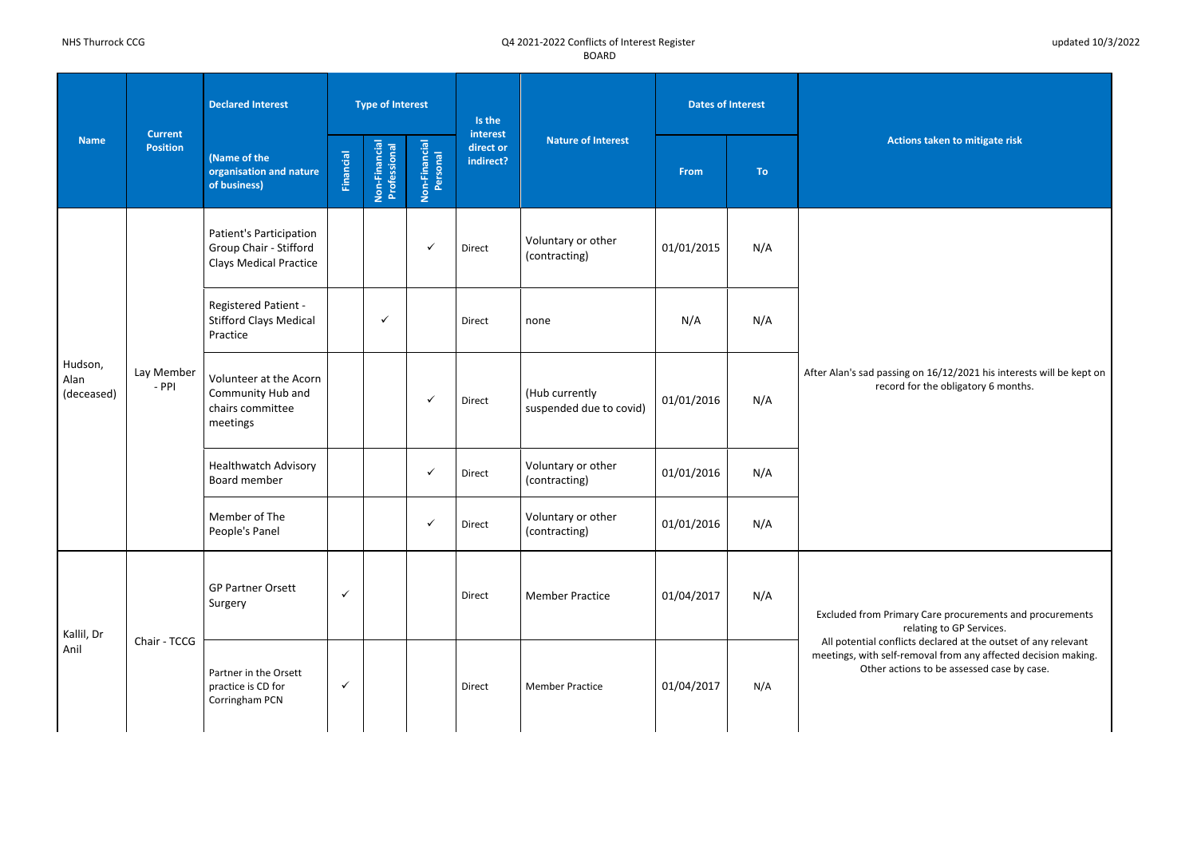**Actions taken to mitigate risk** 

ng on 16/12/2021 his interests will be kept on  $\overline{\text{r}}$  of the obligatory 6 months.

mary Care procurements and procurements relating to GP Services.

licts declared at the outset of any relevant removal from any affected decision making. tions to be assessed case by case.

| <b>Name</b>                   |                                   | <b>Declared Interest</b>                                                           |                  | <b>Type of Interest</b>       |                           | Is the                             |                                           | <b>Dates of Interest</b> |           |                                                           |
|-------------------------------|-----------------------------------|------------------------------------------------------------------------------------|------------------|-------------------------------|---------------------------|------------------------------------|-------------------------------------------|--------------------------|-----------|-----------------------------------------------------------|
|                               | <b>Current</b><br><b>Position</b> | (Name of the<br>organisation and nature<br>of business)                            | <b>Financial</b> | Non-Financial<br>Professional | Non-Financial<br>Personal | interest<br>direct or<br>indirect? | <b>Nature of Interest</b>                 | From                     | <b>To</b> | <b>Act</b>                                                |
|                               |                                   | Patient's Participation<br>Group Chair - Stifford<br><b>Clays Medical Practice</b> |                  |                               | $\checkmark$              | Direct                             | Voluntary or other<br>(contracting)       | 01/01/2015               | N/A       |                                                           |
|                               |                                   | Registered Patient -<br><b>Stifford Clays Medical</b><br>Practice                  |                  | $\checkmark$                  |                           | Direct                             | none                                      | N/A                      | N/A       |                                                           |
| Hudson,<br>Alan<br>(deceased) | Lay Member<br>$-$ PPI             | Volunteer at the Acorn<br>Community Hub and<br>chairs committee<br>meetings        |                  |                               | $\checkmark$              | Direct                             | (Hub currently<br>suspended due to covid) | 01/01/2016               | N/A       | After Alan's sad passir<br>record                         |
|                               |                                   | <b>Healthwatch Advisory</b><br>Board member                                        |                  |                               | $\checkmark$              | Direct                             | Voluntary or other<br>(contracting)       | 01/01/2016               | N/A       |                                                           |
|                               |                                   | Member of The<br>People's Panel                                                    |                  |                               | $\checkmark$              | Direct                             | Voluntary or other<br>(contracting)       | 01/01/2016               | N/A       |                                                           |
| Kallil, Dr                    |                                   | <b>GP Partner Orsett</b><br>Surgery                                                | $\checkmark$     |                               |                           | Direct                             | <b>Member Practice</b>                    | 01/04/2017               | N/A       | <b>Excluded from Prim</b>                                 |
| Anil                          | Chair - TCCG                      | Partner in the Orsett<br>practice is CD for<br>Corringham PCN                      | $\checkmark$     |                               |                           | Direct                             | <b>Member Practice</b>                    | 01/04/2017               | N/A       | All potential confli<br>meetings, with self-<br>Other act |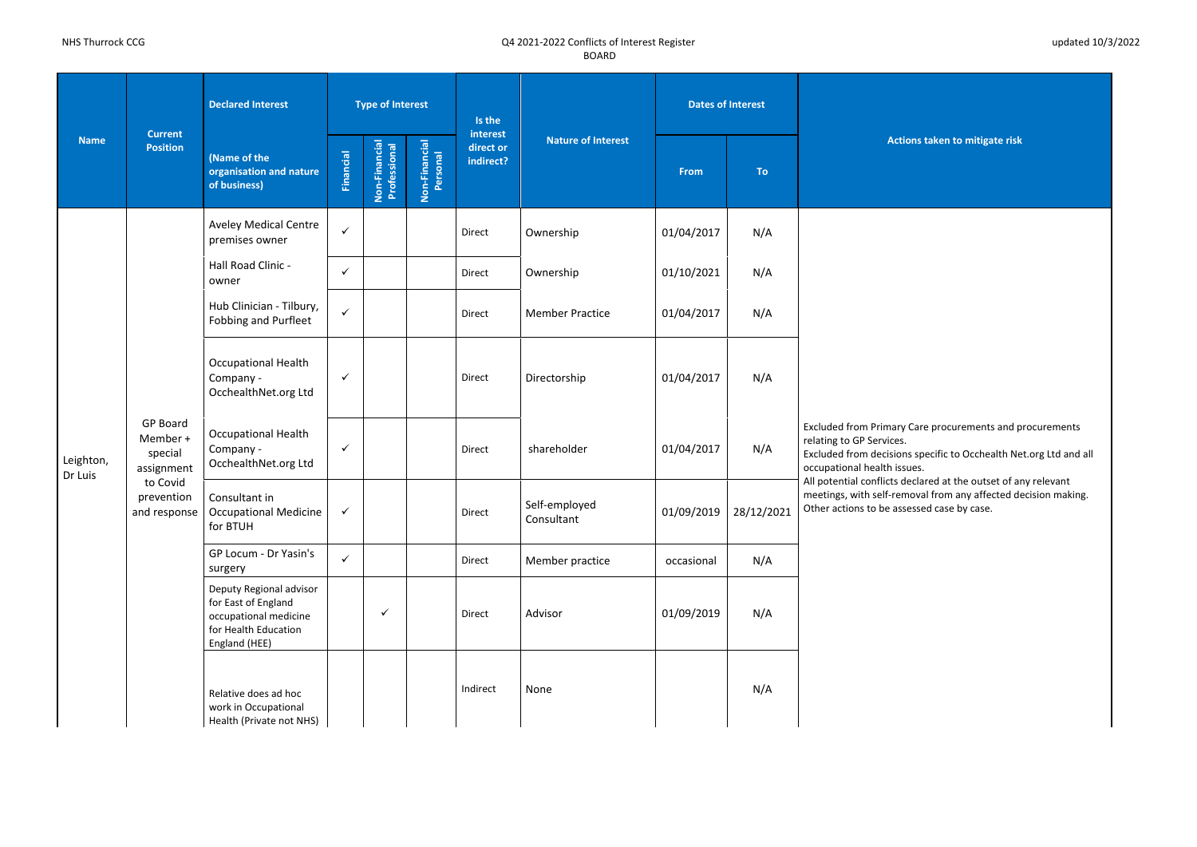**Actions taken to mitigate risk** 

ry Care procurements and procurements

ons specific to Occhealth Net.org Ltd and all ssues.

declared at the outset of any relevant

emoval from any affected decision making. ssessed case by case.

| <b>Name</b>          | <b>Current</b><br><b>Position</b>                    | <b>Declared Interest</b>                                                                                         |                  | <b>Type of Interest</b>       |                           | Is the                             | <b>Nature of Interest</b>   |            | <b>Dates of Interest</b> | <b>Actio</b>                                                                                                          |
|----------------------|------------------------------------------------------|------------------------------------------------------------------------------------------------------------------|------------------|-------------------------------|---------------------------|------------------------------------|-----------------------------|------------|--------------------------|-----------------------------------------------------------------------------------------------------------------------|
|                      |                                                      | (Name of the<br>organisation and nature<br>of business)                                                          | <b>Financial</b> | Non-Financial<br>Professional | Non-Financial<br>Personal | interest<br>direct or<br>indirect? |                             | From       | <b>To</b>                |                                                                                                                       |
|                      |                                                      | <b>Aveley Medical Centre</b><br>premises owner                                                                   | $\checkmark$     |                               |                           | Direct                             | Ownership                   | 01/04/2017 | N/A                      |                                                                                                                       |
|                      |                                                      | Hall Road Clinic -<br>owner                                                                                      | $\checkmark$     |                               |                           | Direct                             | Ownership                   | 01/10/2021 | N/A                      |                                                                                                                       |
|                      |                                                      | Hub Clinician - Tilbury,<br>Fobbing and Purfleet                                                                 | $\checkmark$     |                               |                           | Direct                             | <b>Member Practice</b>      | 01/04/2017 | N/A                      |                                                                                                                       |
|                      |                                                      | <b>Occupational Health</b><br>Company -<br>OcchealthNet.org Ltd                                                  | $\checkmark$     |                               |                           | Direct                             | Directorship                | 01/04/2017 | N/A                      |                                                                                                                       |
| Leighton,<br>Dr Luis | <b>GP Board</b><br>Member +<br>special<br>assignment | <b>Occupational Health</b><br>Company -<br>OcchealthNet.org Ltd                                                  | $\checkmark$     |                               |                           | Direct                             | shareholder                 | 01/04/2017 | N/A                      | <b>Excluded from Primary</b><br>relating to GP Services.<br><b>Excluded from decision</b><br>occupational health issu |
|                      | to Covid<br>prevention<br>and response               | Consultant in<br><b>Occupational Medicine</b><br>for BTUH                                                        | $\checkmark$     |                               |                           | Direct                             | Self-employed<br>Consultant | 01/09/2019 | 28/12/2021               | All potential conflicts de<br>meetings, with self-rem<br>Other actions to be asse                                     |
|                      |                                                      | GP Locum - Dr Yasin's<br>surgery                                                                                 | $\checkmark$     |                               |                           | Direct                             | Member practice             | occasional | N/A                      |                                                                                                                       |
|                      |                                                      | Deputy Regional advisor<br>for East of England<br>occupational medicine<br>for Health Education<br>England (HEE) |                  | $\checkmark$                  |                           | Direct                             | Advisor                     | 01/09/2019 | N/A                      |                                                                                                                       |
|                      |                                                      | Relative does ad hoc<br>work in Occupational<br>Health (Private not NHS)                                         |                  |                               |                           | Indirect                           | None                        |            | N/A                      |                                                                                                                       |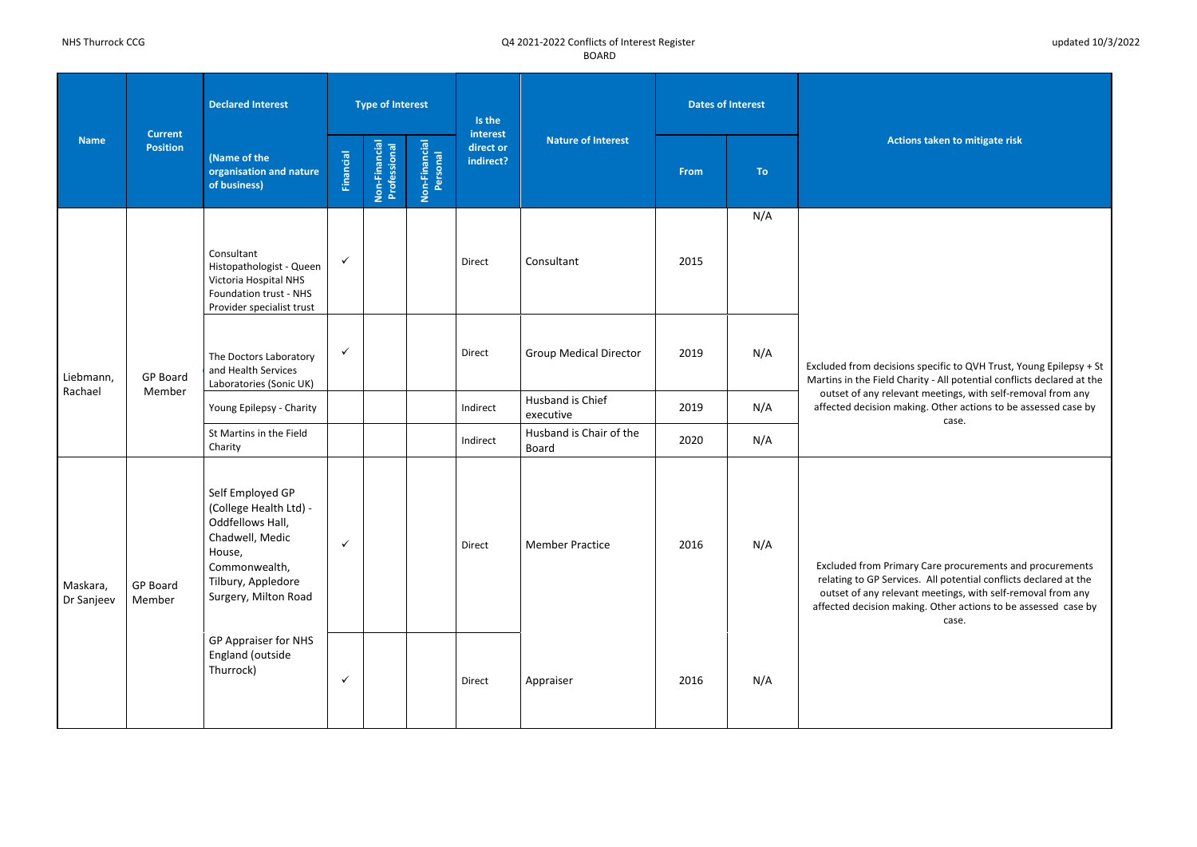**Actions taken to mitigate risk** 

ons specific to QVH Trust, Young Epilepsy + St Charity - All potential conflicts declared at the vant meetings, with self-removal from any haking. Other actions to be assessed case by case.

nary Care procurements and procurements rices. All potential conflicts declared at the vant meetings, with self-removal from any aking. Other actions to be assessed case by case.

| <b>Name</b>            | <b>Current</b><br><b>Position</b> | <b>Declared Interest</b>                                                                                                                                   |                  | <b>Type of Interest</b>       |                           | Is the                             |                                         |      | <b>Dates of Interest</b> |                                                                                                  |
|------------------------|-----------------------------------|------------------------------------------------------------------------------------------------------------------------------------------------------------|------------------|-------------------------------|---------------------------|------------------------------------|-----------------------------------------|------|--------------------------|--------------------------------------------------------------------------------------------------|
|                        |                                   | (Name of the<br>organisation and nature<br>of business)                                                                                                    | <b>Financial</b> | Non-Financial<br>Professional | Non-Financial<br>Personal | interest<br>direct or<br>indirect? | <b>Nature of Interest</b>               | From | To                       | <b>Act</b>                                                                                       |
|                        |                                   | Consultant<br>Histopathologist - Queen<br><b>Victoria Hospital NHS</b><br>Foundation trust - NHS<br>Provider specialist trust                              | $\checkmark$     |                               |                           | Direct                             | Consultant                              | 2015 | N/A                      |                                                                                                  |
| Liebmann,<br>Rachael   | <b>GP Board</b><br>Member         | The Doctors Laboratory<br>and Health Services<br>Laboratories (Sonic UK)                                                                                   | ✓                |                               |                           | Direct                             | <b>Group Medical Director</b>           | 2019 | N/A                      | <b>Excluded from decisic</b><br>Martins in the Field C                                           |
|                        |                                   | Young Epilepsy - Charity                                                                                                                                   |                  |                               |                           | Indirect                           | Husband is Chief<br>executive           | 2019 | N/A                      | outset of any relev<br>affected decision m                                                       |
|                        |                                   | St Martins in the Field<br>Charity                                                                                                                         |                  |                               |                           | Indirect                           | Husband is Chair of the<br><b>Board</b> | 2020 | N/A                      |                                                                                                  |
| Maskara,<br>Dr Sanjeev | <b>GP Board</b><br>Member         | Self Employed GP<br>(College Health Ltd) -<br>Oddfellows Hall,<br>Chadwell, Medic<br>House,<br>Commonwealth,<br>Tilbury, Appledore<br>Surgery, Milton Road | $\checkmark$     |                               |                           | Direct                             | <b>Member Practice</b>                  | 2016 | N/A                      | <b>Excluded from Prim</b><br>relating to GP Servi<br>outset of any relev<br>affected decision ma |
|                        |                                   | GP Appraiser for NHS<br>England (outside<br>Thurrock)                                                                                                      | ✓                |                               |                           | Direct                             | Appraiser                               | 2016 | N/A                      |                                                                                                  |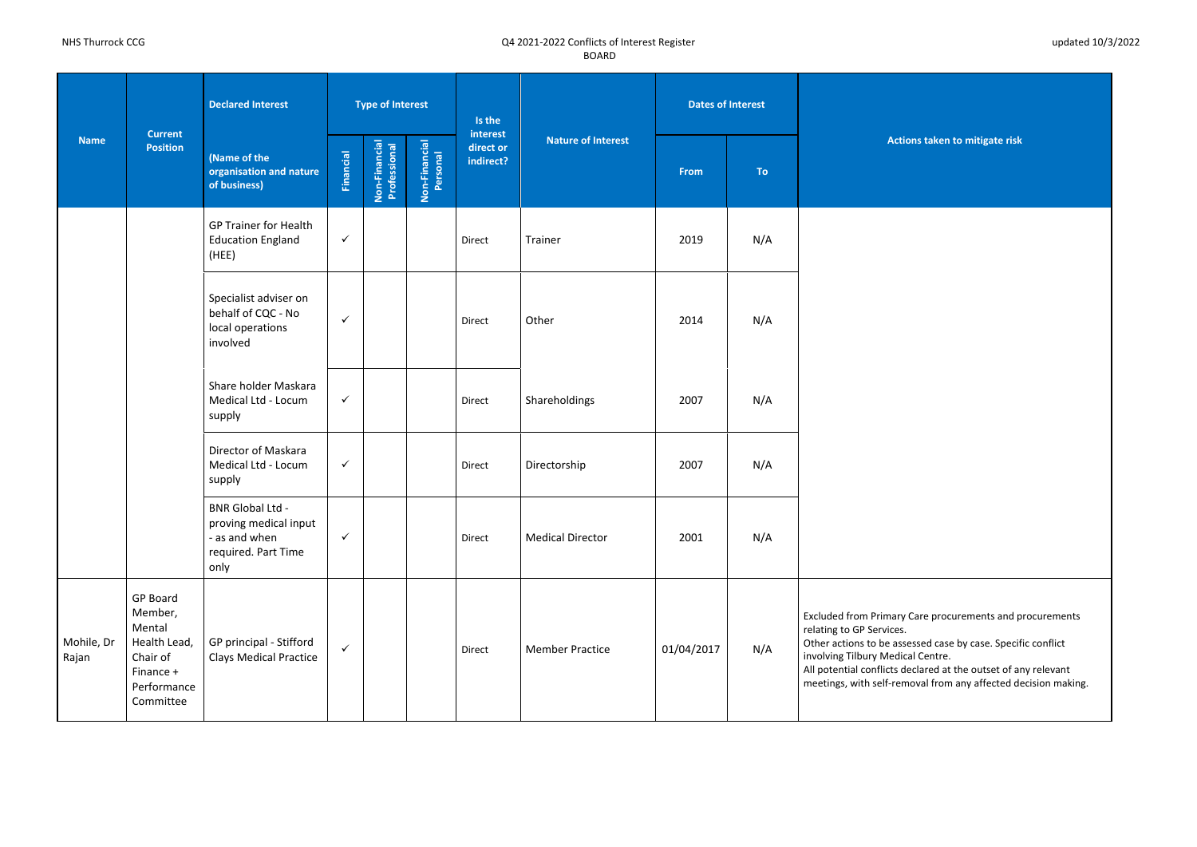**Actions taken to mitigate risk** 

ry Care procurements and procurements

ssessed case by case. Specific conflict lical Centre.

declared at the outset of any relevant

emoval from any affected decision making.

| <b>Name</b>         |                                                                                                    | <b>Declared Interest</b>                                                                         |              | <b>Type of Interest</b>       |                           | Is the                             |                           | <b>Dates of Interest</b> |           |                                                                                                                                                                          |
|---------------------|----------------------------------------------------------------------------------------------------|--------------------------------------------------------------------------------------------------|--------------|-------------------------------|---------------------------|------------------------------------|---------------------------|--------------------------|-----------|--------------------------------------------------------------------------------------------------------------------------------------------------------------------------|
|                     | <b>Current</b><br><b>Position</b>                                                                  | (Name of the<br>organisation and nature<br>of business)                                          | Financial    | Non-Financial<br>Professional | Non-Financial<br>Personal | interest<br>direct or<br>indirect? | <b>Nature of Interest</b> | <b>From</b>              | <b>To</b> | <b>Actio</b>                                                                                                                                                             |
|                     |                                                                                                    | <b>GP Trainer for Health</b><br><b>Education England</b><br>(HEE)                                | $\checkmark$ |                               |                           | Direct                             | Trainer                   | 2019                     | N/A       |                                                                                                                                                                          |
|                     |                                                                                                    | Specialist adviser on<br>behalf of CQC - No<br>local operations<br>involved                      | $\checkmark$ |                               |                           | Direct                             | Other                     | 2014                     | N/A       |                                                                                                                                                                          |
|                     |                                                                                                    | Share holder Maskara<br>Medical Ltd - Locum<br>supply                                            | $\checkmark$ |                               |                           | Direct                             | Shareholdings             | 2007                     | N/A       |                                                                                                                                                                          |
|                     |                                                                                                    | Director of Maskara<br>Medical Ltd - Locum<br>supply                                             | $\checkmark$ |                               |                           | Direct                             | Directorship              | 2007                     | N/A       |                                                                                                                                                                          |
|                     |                                                                                                    | <b>BNR Global Ltd -</b><br>proving medical input<br>- as and when<br>required. Part Time<br>only | $\checkmark$ |                               |                           | Direct                             | <b>Medical Director</b>   | 2001                     | N/A       |                                                                                                                                                                          |
| Mohile, Dr<br>Rajan | GP Board<br>Member,<br>Mental<br>Health Lead,<br>Chair of<br>Finance +<br>Performance<br>Committee | GP principal - Stifford<br><b>Clays Medical Practice</b>                                         | $\checkmark$ |                               |                           | Direct                             | <b>Member Practice</b>    | 01/04/2017               | N/A       | <b>Excluded from Primary</b><br>relating to GP Services.<br>Other actions to be asse<br>involving Tilbury Medic<br>All potential conflicts de<br>meetings, with self-rem |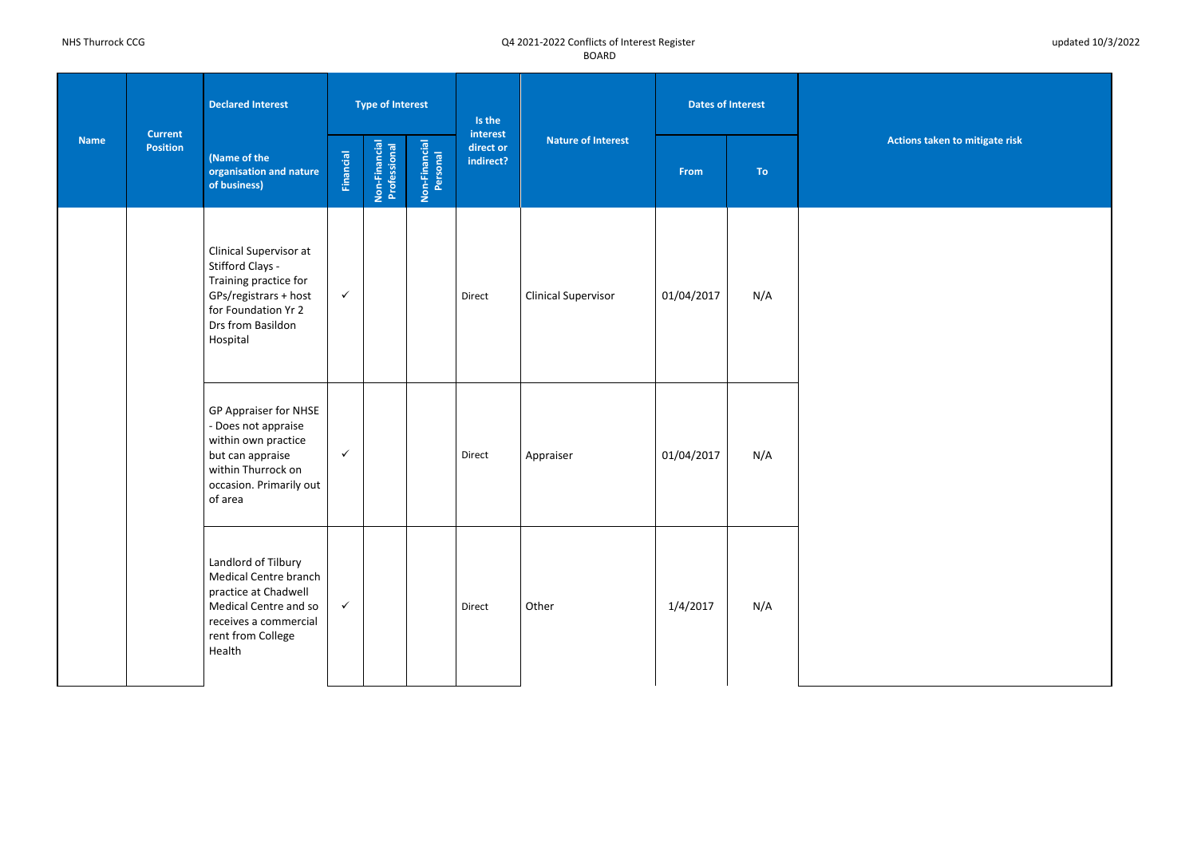**Actions taken to mitigate risk** 

| <b>Name</b> |                                   | <b>Declared Interest</b>                                                                                                                              |                  | <b>Type of Interest</b>       |                           | Is the<br>interest<br><b>Nature of Interest</b> |                            | <b>Dates of Interest</b> |           |            |
|-------------|-----------------------------------|-------------------------------------------------------------------------------------------------------------------------------------------------------|------------------|-------------------------------|---------------------------|-------------------------------------------------|----------------------------|--------------------------|-----------|------------|
|             | <b>Current</b><br><b>Position</b> | (Name of the<br>organisation and nature<br>of business)                                                                                               | <b>Financial</b> | Non-Financial<br>Professional | Non-Financial<br>Personal | direct or<br>indirect?                          |                            | <b>From</b>              | <b>To</b> | <b>Act</b> |
|             |                                   | Clinical Supervisor at<br>Stifford Clays -<br>Training practice for<br>GPs/registrars + host<br>for Foundation Yr 2<br>Drs from Basildon<br>Hospital  | $\checkmark$     |                               |                           | Direct                                          | <b>Clinical Supervisor</b> | 01/04/2017               | N/A       |            |
|             |                                   | GP Appraiser for NHSE<br>- Does not appraise<br>within own practice<br>but can appraise<br>within Thurrock on<br>occasion. Primarily out<br>of area   | $\checkmark$     |                               |                           | Direct                                          | Appraiser                  | 01/04/2017               | N/A       |            |
|             |                                   | Landlord of Tilbury<br>Medical Centre branch<br>practice at Chadwell<br>Medical Centre and so<br>receives a commercial<br>rent from College<br>Health | $\checkmark$     |                               |                           | Direct                                          | Other                      | 1/4/2017                 | N/A       |            |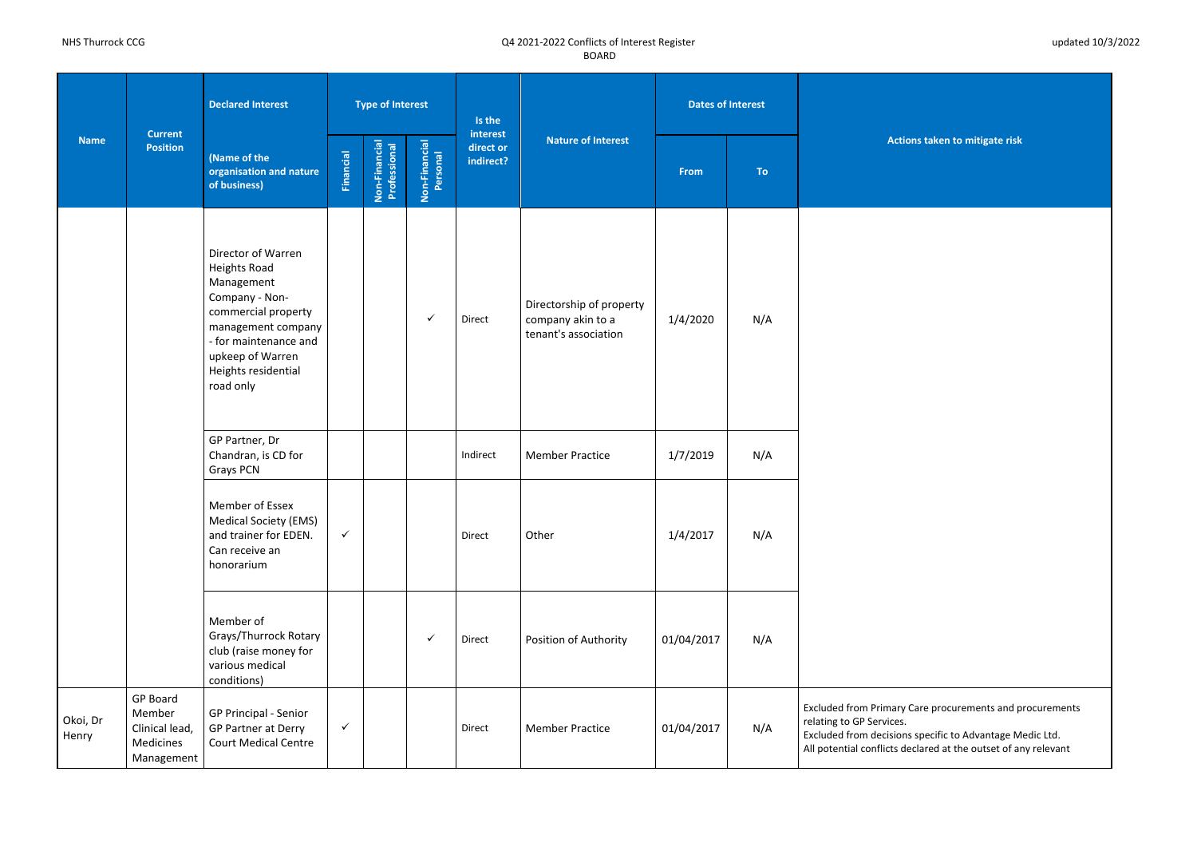**Actions taken to mitigate risk** 

ry Care procurements and procurements Excluded from decisions specific to Advantage Medic Ltd.

| <b>Name</b>       |                                                                        | <b>Declared Interest</b>                                                                                                                                                                         |                  | <b>Type of Interest</b>       |                           | Is the                             |                                                                       |             | <b>Dates of Interest</b> |                                                                                                                         |
|-------------------|------------------------------------------------------------------------|--------------------------------------------------------------------------------------------------------------------------------------------------------------------------------------------------|------------------|-------------------------------|---------------------------|------------------------------------|-----------------------------------------------------------------------|-------------|--------------------------|-------------------------------------------------------------------------------------------------------------------------|
|                   | <b>Current</b><br><b>Position</b>                                      | (Name of the<br>organisation and nature<br>of business)                                                                                                                                          | <b>Financial</b> | Non-Financial<br>Professional | Non-Financial<br>Personal | interest<br>direct or<br>indirect? | <b>Nature of Interest</b>                                             | <b>From</b> | <b>To</b>                | <b>Actio</b>                                                                                                            |
|                   |                                                                        | Director of Warren<br>Heights Road<br>Management<br>Company - Non-<br>commercial property<br>management company<br>- for maintenance and<br>upkeep of Warren<br>Heights residential<br>road only |                  |                               | $\checkmark$              | Direct                             | Directorship of property<br>company akin to a<br>tenant's association | 1/4/2020    | N/A                      |                                                                                                                         |
|                   |                                                                        | GP Partner, Dr<br>Chandran, is CD for<br>Grays PCN                                                                                                                                               |                  |                               |                           | Indirect                           | <b>Member Practice</b>                                                | 1/7/2019    | N/A                      |                                                                                                                         |
|                   |                                                                        | Member of Essex<br><b>Medical Society (EMS)</b><br>and trainer for EDEN.<br>Can receive an<br>honorarium                                                                                         | $\checkmark$     |                               |                           | Direct                             | Other                                                                 | 1/4/2017    | N/A                      |                                                                                                                         |
|                   |                                                                        | Member of<br>Grays/Thurrock Rotary<br>club (raise money for<br>various medical<br>conditions)                                                                                                    |                  |                               | $\checkmark$              | Direct                             | Position of Authority                                                 | 01/04/2017  | N/A                      |                                                                                                                         |
| Okoi, Dr<br>Henry | <b>GP Board</b><br>Member<br>Clinical lead,<br>Medicines<br>Management | GP Principal - Senior<br>GP Partner at Derry<br><b>Court Medical Centre</b>                                                                                                                      | $\checkmark$     |                               |                           | Direct                             | <b>Member Practice</b>                                                | 01/04/2017  | N/A                      | <b>Excluded from Primary</b><br>relating to GP Services.<br><b>Excluded from decision</b><br>All potential conflicts de |

All potential conflicts declared at the outset of any relevant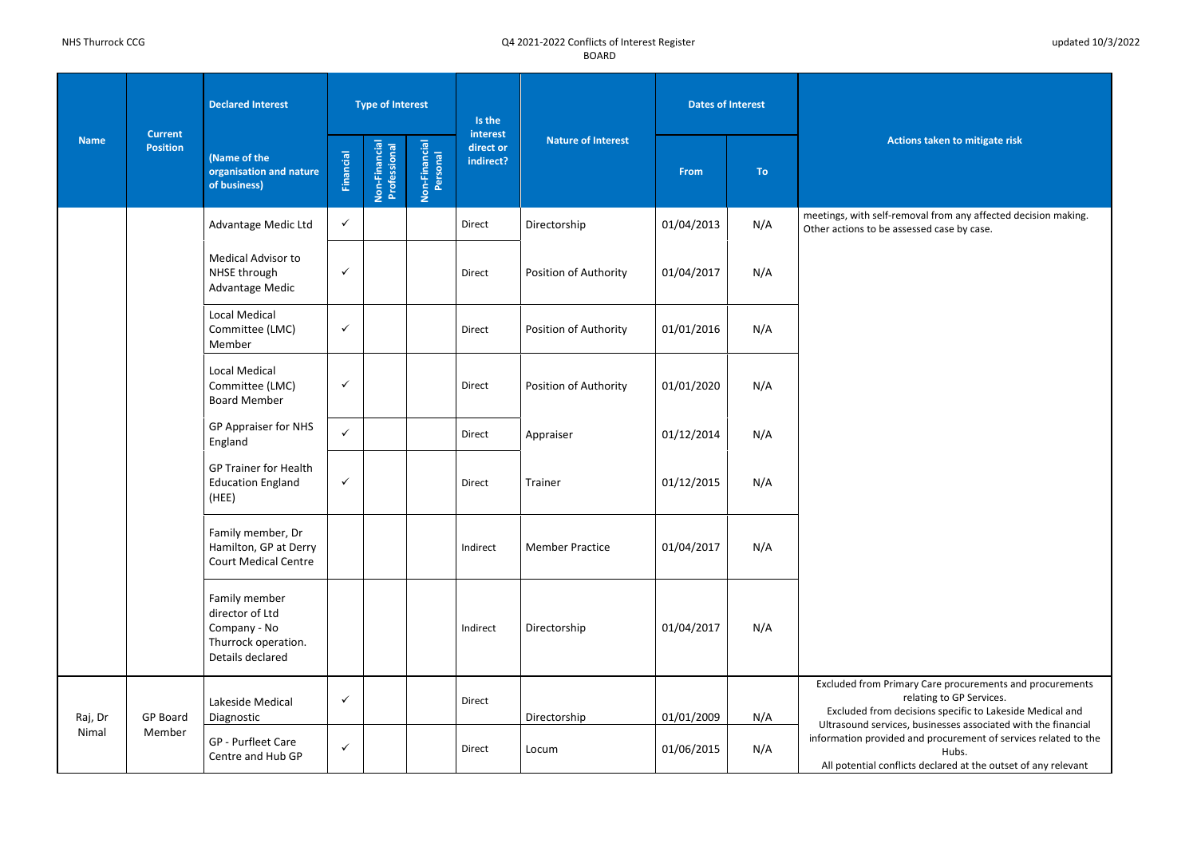**Actions taken to mitigate risk** 

 $m$ oval from any affected decision making. ssessed case by case.

nary Care procurements and procurements relating to GP Services. lecisions specific to Lakeside Medical and es, businesses associated with the financial d and procurement of services related to the Hubs. licts declared at the outset of any relevant

| <b>Name</b> |                                   | <b>Declared Interest</b>                                                                    |                  | <b>Type of Interest</b>       |                           | Is the<br>interest<br><b>Nature of Interest</b><br>direct or |                        | <b>Dates of Interest</b> |     |                                                   |
|-------------|-----------------------------------|---------------------------------------------------------------------------------------------|------------------|-------------------------------|---------------------------|--------------------------------------------------------------|------------------------|--------------------------|-----|---------------------------------------------------|
|             | <b>Current</b><br><b>Position</b> | (Name of the<br>organisation and nature<br>of business)                                     | <b>Financial</b> | Non-Financial<br>Professional | Non-Financial<br>Personal | indirect?                                                    |                        | From                     | To  | <b>Act</b>                                        |
|             |                                   | Advantage Medic Ltd                                                                         | $\checkmark$     |                               |                           | Direct                                                       | Directorship           | 01/04/2013               | N/A | meetings, with self-rei<br>Other actions to be as |
|             |                                   | <b>Medical Advisor to</b><br>NHSE through<br>Advantage Medic                                | $\checkmark$     |                               |                           | Direct                                                       | Position of Authority  | 01/04/2017               | N/A |                                                   |
|             |                                   | <b>Local Medical</b><br>Committee (LMC)<br>Member                                           | $\checkmark$     |                               |                           | Direct                                                       | Position of Authority  | 01/01/2016               | N/A |                                                   |
|             |                                   | <b>Local Medical</b><br>Committee (LMC)<br><b>Board Member</b>                              | $\checkmark$     |                               |                           | Direct                                                       | Position of Authority  | 01/01/2020               | N/A |                                                   |
|             |                                   | GP Appraiser for NHS<br>England                                                             | $\checkmark$     |                               |                           | Direct                                                       | Appraiser              | 01/12/2014               | N/A |                                                   |
|             |                                   | <b>GP Trainer for Health</b><br><b>Education England</b><br>(HEE)                           | $\checkmark$     |                               |                           | Direct                                                       | Trainer                | 01/12/2015               | N/A |                                                   |
|             |                                   | Family member, Dr<br>Hamilton, GP at Derry<br><b>Court Medical Centre</b>                   |                  |                               |                           | Indirect                                                     | <b>Member Practice</b> | 01/04/2017               | N/A |                                                   |
|             |                                   | Family member<br>director of Ltd<br>Company - No<br>Thurrock operation.<br>Details declared |                  |                               |                           | Indirect                                                     | Directorship           | 01/04/2017               | N/A |                                                   |
|             |                                   | Lakeside Medical                                                                            | $\checkmark$     |                               |                           | Direct                                                       |                        |                          |     | <b>Excluded from Prim</b>                         |
| Raj, Dr     | <b>GP Board</b>                   | Diagnostic                                                                                  |                  |                               |                           |                                                              | Directorship           | 01/01/2009               | N/A | Excluded from de<br>Ultrasound service            |
| Nimal       | Member                            | GP - Purfleet Care<br>Centre and Hub GP                                                     | $\checkmark$     |                               |                           | Direct                                                       | Locum                  | 01/06/2015               | N/A | information provided<br>All potential confli      |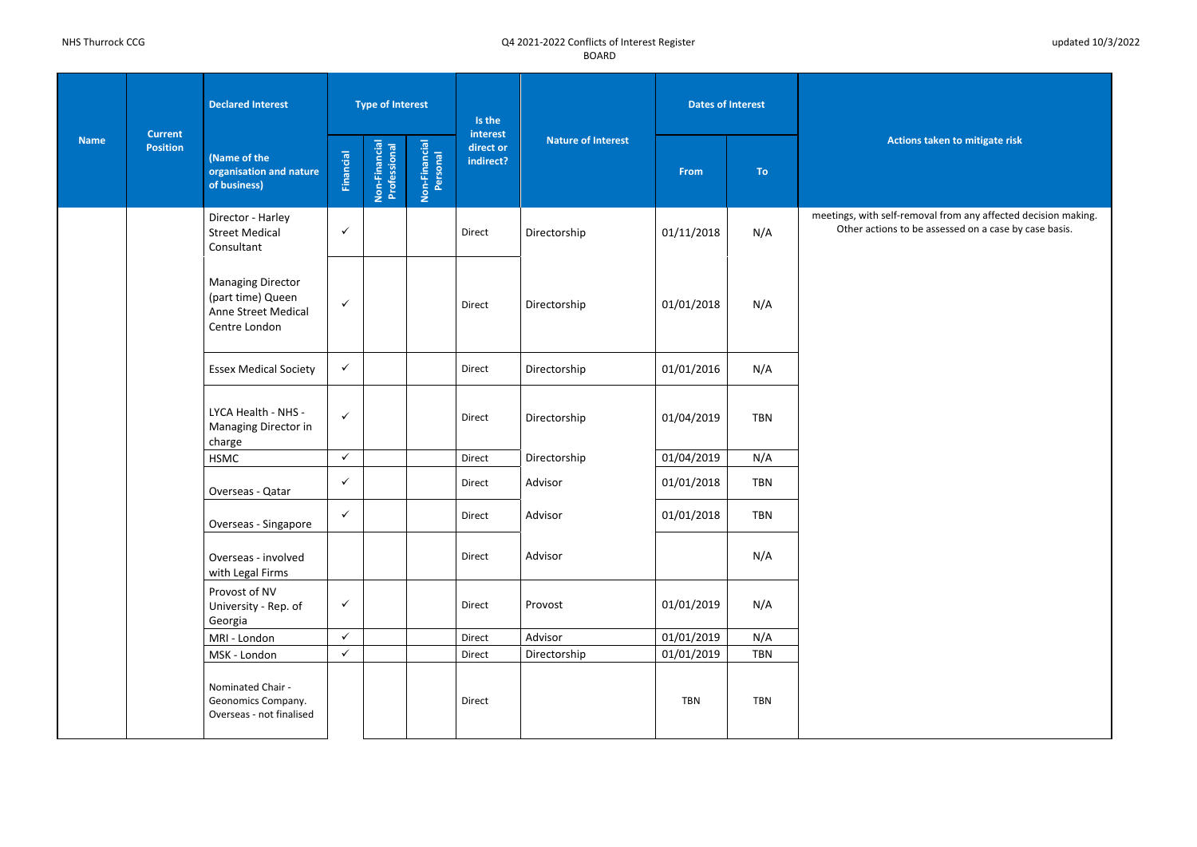**Actions taken to mitigate risk** 

removal from any affected decision making. to be assessed on a case by case basis.

| <b>Name</b> |                                   | <b>Declared Interest</b>                                                              |              | <b>Type of Interest</b>       |                           | Is the                             |                           | <b>Dates of Interest</b> |            |                                          |
|-------------|-----------------------------------|---------------------------------------------------------------------------------------|--------------|-------------------------------|---------------------------|------------------------------------|---------------------------|--------------------------|------------|------------------------------------------|
|             | <b>Current</b><br><b>Position</b> | (Name of the<br>organisation and nature<br>of business)                               | Financial    | Non-Financial<br>Professional | Non-Financial<br>Personal | interest<br>direct or<br>indirect? | <b>Nature of Interest</b> | From                     | <b>To</b>  | Acti                                     |
|             |                                   | Director - Harley<br><b>Street Medical</b><br>Consultant                              | $\checkmark$ |                               |                           | Direct                             | Directorship              | 01/11/2018               | N/A        | meetings, with self-r<br>Other actions t |
|             |                                   | <b>Managing Director</b><br>(part time) Queen<br>Anne Street Medical<br>Centre London | $\checkmark$ |                               |                           | Direct                             | Directorship              | 01/01/2018               | N/A        |                                          |
|             |                                   | <b>Essex Medical Society</b>                                                          | $\checkmark$ |                               |                           | Direct                             | Directorship              | 01/01/2016               | N/A        |                                          |
|             |                                   | LYCA Health - NHS -<br>Managing Director in<br>charge                                 | $\checkmark$ |                               |                           | Direct                             | Directorship              | 01/04/2019               | <b>TBN</b> |                                          |
|             |                                   | <b>HSMC</b>                                                                           | $\checkmark$ |                               |                           | Direct                             | Directorship              | 01/04/2019               | N/A        |                                          |
|             |                                   | Overseas - Qatar                                                                      | $\checkmark$ |                               |                           | Direct                             | Advisor                   | 01/01/2018               | <b>TBN</b> |                                          |
|             |                                   | Overseas - Singapore                                                                  | $\checkmark$ |                               |                           | Direct                             | Advisor                   | 01/01/2018               | <b>TBN</b> |                                          |
|             |                                   | Overseas - involved<br>with Legal Firms                                               |              |                               |                           | Direct                             | Advisor                   |                          | N/A        |                                          |
|             |                                   | Provost of NV<br>University - Rep. of<br>Georgia                                      | $\checkmark$ |                               |                           | Direct                             | Provost                   | 01/01/2019               | N/A        |                                          |
|             |                                   | MRI - London                                                                          | $\checkmark$ |                               |                           | Direct                             | Advisor                   | 01/01/2019               | N/A        |                                          |
|             |                                   | MSK - London                                                                          | $\checkmark$ |                               |                           | Direct                             | Directorship              | 01/01/2019               | <b>TBN</b> |                                          |
|             |                                   | Nominated Chair -<br>Geonomics Company.<br>Overseas - not finalised                   |              |                               |                           | Direct                             |                           | <b>TBN</b>               | <b>TBN</b> |                                          |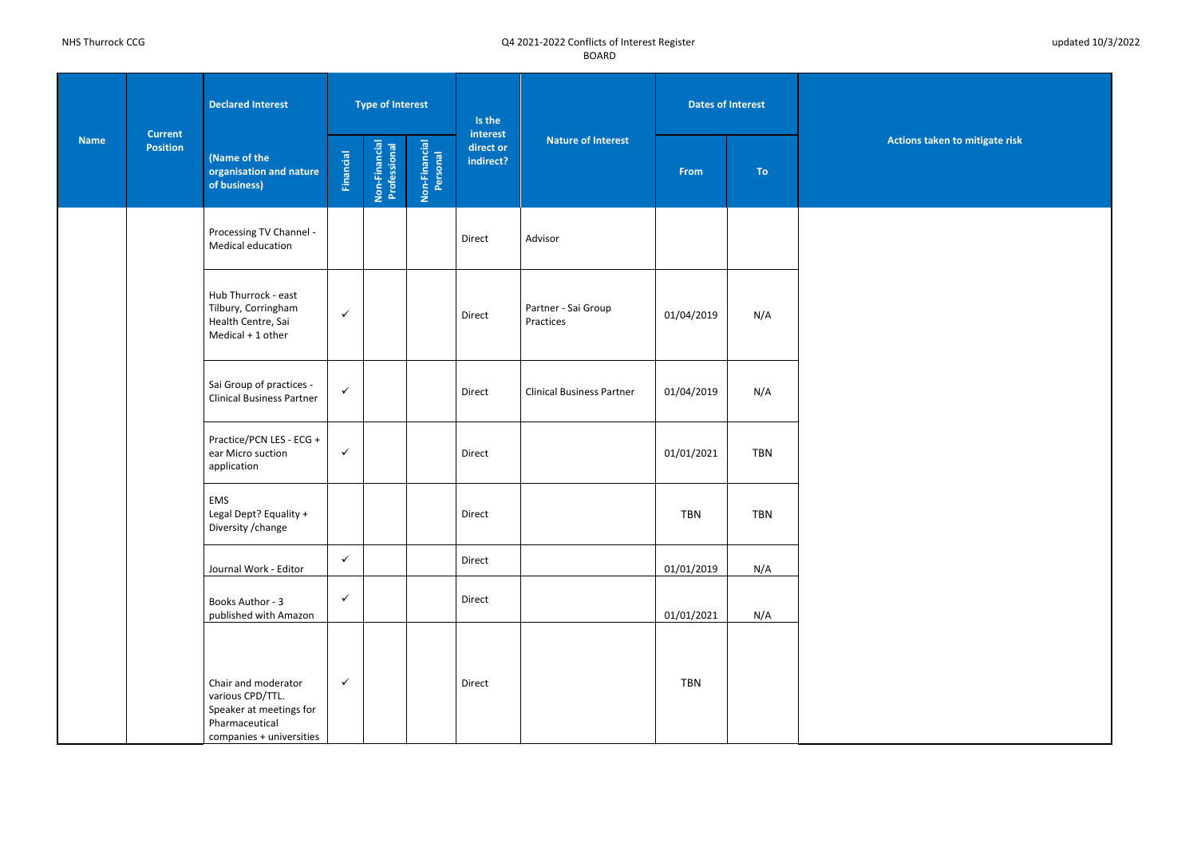**Actions taken to mitigate risk** 

| <b>Name</b> |                                   | <b>Declared Interest</b>                                                                                         |                  | <b>Type of Interest</b>       |                           | Is the                             |                                  | <b>Dates of Interest</b> |            |            |
|-------------|-----------------------------------|------------------------------------------------------------------------------------------------------------------|------------------|-------------------------------|---------------------------|------------------------------------|----------------------------------|--------------------------|------------|------------|
|             | <b>Current</b><br><b>Position</b> | (Name of the<br>organisation and nature<br>of business)                                                          | <b>Financial</b> | Non-Financial<br>Professional | Non-Financial<br>Personal | interest<br>direct or<br>indirect? | <b>Nature of Interest</b>        | <b>From</b>              | <b>To</b>  | <b>Act</b> |
|             |                                   | Processing TV Channel -<br>Medical education                                                                     |                  |                               |                           | Direct                             | Advisor                          |                          |            |            |
|             |                                   | Hub Thurrock - east<br>Tilbury, Corringham<br>Health Centre, Sai<br>Medical + 1 other                            | $\checkmark$     |                               |                           | Direct                             | Partner - Sai Group<br>Practices | 01/04/2019               | N/A        |            |
|             |                                   | Sai Group of practices -<br><b>Clinical Business Partner</b>                                                     | $\checkmark$     |                               |                           | Direct                             | <b>Clinical Business Partner</b> | 01/04/2019               | N/A        |            |
|             |                                   | Practice/PCN LES - ECG +<br>ear Micro suction<br>application                                                     | $\checkmark$     |                               |                           | Direct                             |                                  | 01/01/2021               | <b>TBN</b> |            |
|             |                                   | <b>EMS</b><br>Legal Dept? Equality +<br>Diversity / change                                                       |                  |                               |                           | Direct                             |                                  | <b>TBN</b>               | <b>TBN</b> |            |
|             |                                   | Journal Work - Editor                                                                                            | $\checkmark$     |                               |                           | Direct                             |                                  | 01/01/2019               | N/A        |            |
|             |                                   | Books Author - 3<br>published with Amazon                                                                        | $\checkmark$     |                               |                           | Direct                             |                                  | 01/01/2021               | N/A        |            |
|             |                                   | Chair and moderator<br>various CPD/TTL.<br>Speaker at meetings for<br>Pharmaceutical<br>companies + universities | $\checkmark$     |                               |                           | Direct                             |                                  | <b>TBN</b>               |            |            |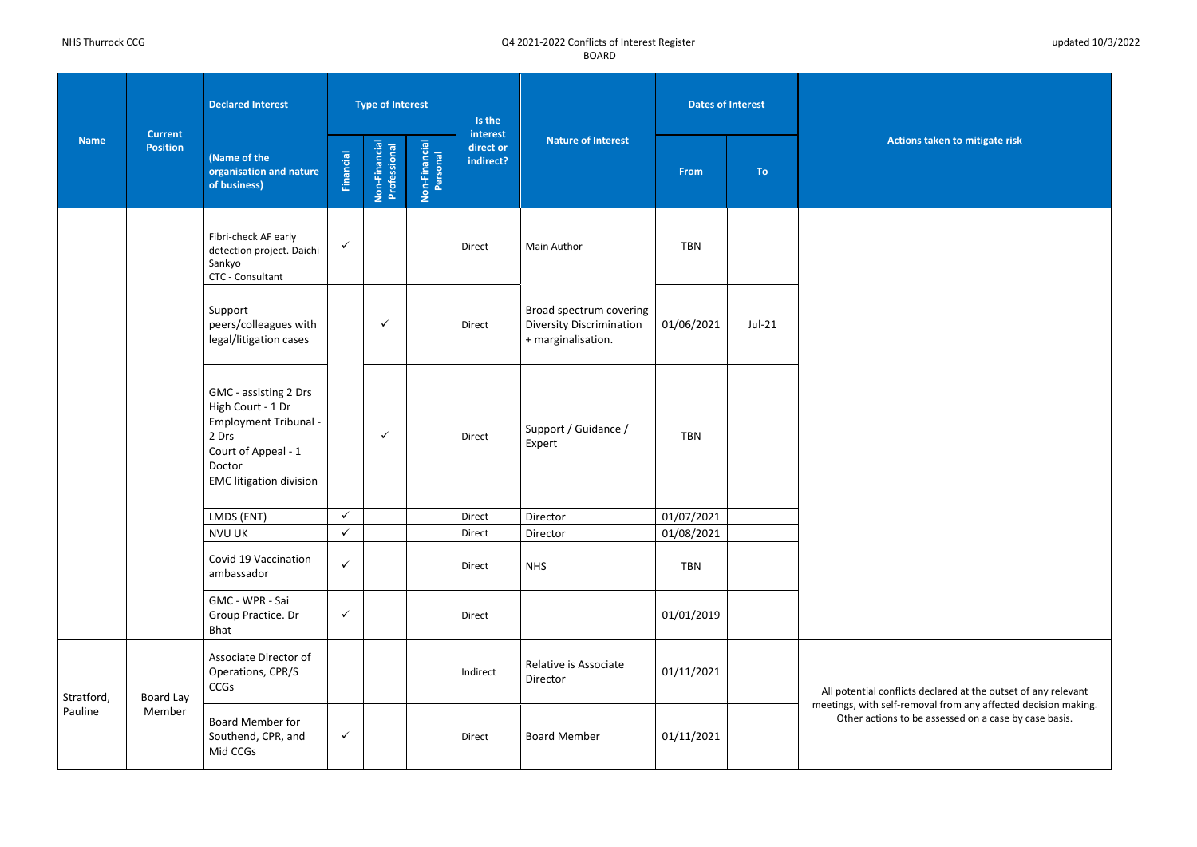**Actions taken to mitigate risk** 

licts declared at the outset of any relevant removal from any affected decision making. to be assessed on a case by case basis.

| <b>Name</b> |                                   | <b>Declared Interest</b>                                                                                                                               |              | <b>Type of Interest</b>       |                           | Is the                             |                                                                                  | <b>Dates of Interest</b> |           |                                         |
|-------------|-----------------------------------|--------------------------------------------------------------------------------------------------------------------------------------------------------|--------------|-------------------------------|---------------------------|------------------------------------|----------------------------------------------------------------------------------|--------------------------|-----------|-----------------------------------------|
|             | <b>Current</b><br><b>Position</b> | (Name of the<br>organisation and nature<br>of business)                                                                                                | Financial    | Non-Financial<br>Professional | Non-Financial<br>Personal | interest<br>direct or<br>indirect? | <b>Nature of Interest</b>                                                        | From                     | <b>To</b> | <b>Act</b>                              |
|             |                                   | Fibri-check AF early<br>detection project. Daichi<br>Sankyo<br>CTC - Consultant                                                                        | $\checkmark$ |                               |                           | Direct                             | Main Author                                                                      | <b>TBN</b>               |           |                                         |
|             |                                   | Support<br>peers/colleagues with<br>legal/litigation cases                                                                                             |              | ✓                             |                           | Direct                             | Broad spectrum covering<br><b>Diversity Discrimination</b><br>+ marginalisation. | 01/06/2021               | $Jul-21$  |                                         |
|             |                                   | GMC - assisting 2 Drs<br>High Court - 1 Dr<br><b>Employment Tribunal -</b><br>2 Drs<br>Court of Appeal - 1<br>Doctor<br><b>EMC</b> litigation division |              | ✓                             |                           | Direct                             | Support / Guidance /<br>Expert                                                   | <b>TBN</b>               |           |                                         |
|             |                                   | LMDS (ENT)                                                                                                                                             | $\checkmark$ |                               |                           | Direct                             | Director                                                                         | 01/07/2021               |           |                                         |
|             |                                   | <b>NVU UK</b>                                                                                                                                          | $\checkmark$ |                               |                           | Direct                             | Director                                                                         | 01/08/2021               |           |                                         |
|             |                                   | Covid 19 Vaccination<br>ambassador                                                                                                                     | $\checkmark$ |                               |                           | Direct                             | <b>NHS</b>                                                                       | <b>TBN</b>               |           |                                         |
|             |                                   | GMC - WPR - Sai<br>Group Practice. Dr<br>Bhat                                                                                                          | $\checkmark$ |                               |                           | Direct                             |                                                                                  | 01/01/2019               |           |                                         |
| Stratford,  | Board Lay                         | Associate Director of<br>Operations, CPR/S<br>CCGs                                                                                                     |              |                               |                           | Indirect                           | Relative is Associate<br>Director                                                | 01/11/2021               |           | All potential confli                    |
| Pauline     | Member                            | <b>Board Member for</b><br>Southend, CPR, and<br>Mid CCGs                                                                                              | $\checkmark$ |                               |                           | Direct                             | <b>Board Member</b>                                                              | 01/11/2021               |           | meetings, with self-<br>Other actions t |